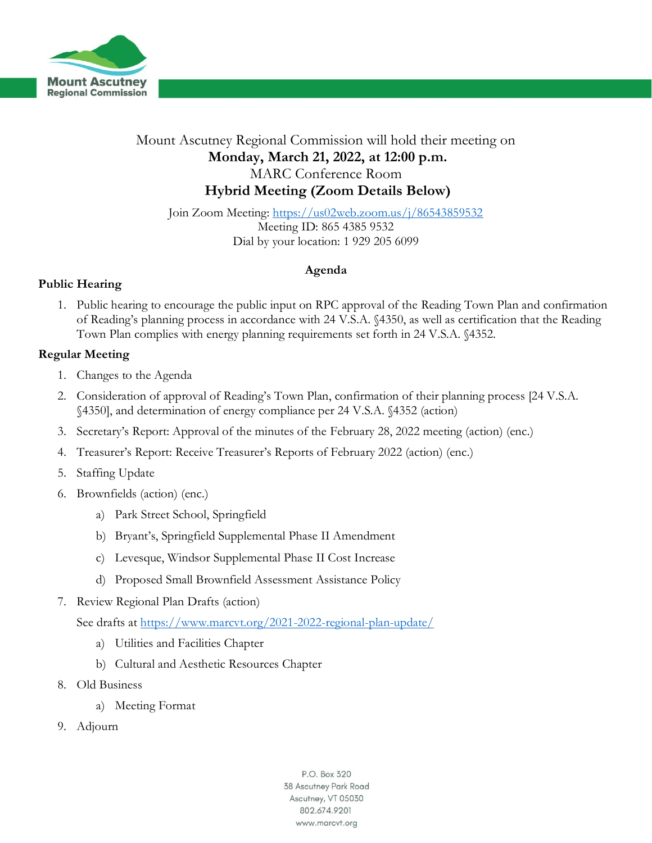

## Mount Ascutney Regional Commission will hold their meeting on **Monday, March 21, 2022, at 12:00 p.m.** MARC Conference Room **Hybrid Meeting (Zoom Details Below)**

Join Zoom Meeting:<https://us02web.zoom.us/j/86543859532> Meeting ID: 865 4385 9532 Dial by your location: 1 929 205 6099

#### **Agenda**

### **Public Hearing**

1. Public hearing to encourage the public input on RPC approval of the Reading Town Plan and confirmation of Reading's planning process in accordance with 24 V.S.A. §4350, as well as certification that the Reading Town Plan complies with energy planning requirements set forth in 24 V.S.A. §4352.

#### **Regular Meeting**

- 1. Changes to the Agenda
- 2. Consideration of approval of Reading's Town Plan, confirmation of their planning process [24 V.S.A. §4350], and determination of energy compliance per 24 V.S.A. §4352 (action)
- 3. Secretary's Report: Approval of the minutes of the February 28, 2022 meeting (action) (enc.)
- 4. Treasurer's Report: Receive Treasurer's Reports of February 2022 (action) (enc.)
- 5. Staffing Update
- 6. Brownfields (action) (enc.)
	- a) Park Street School, Springfield
	- b) Bryant's, Springfield Supplemental Phase II Amendment
	- c) Levesque, Windsor Supplemental Phase II Cost Increase
	- d) Proposed Small Brownfield Assessment Assistance Policy
- 7. Review Regional Plan Drafts (action)

See drafts at<https://www.marcvt.org/2021-2022-regional-plan-update/>

- a) Utilities and Facilities Chapter
- b) Cultural and Aesthetic Resources Chapter
- 8. Old Business
	- a) Meeting Format
- 9. Adjourn

P.O. Box 320 38 Ascutney Park Road Ascutney, VT 05030 802.674.9201 www.marcvt.org